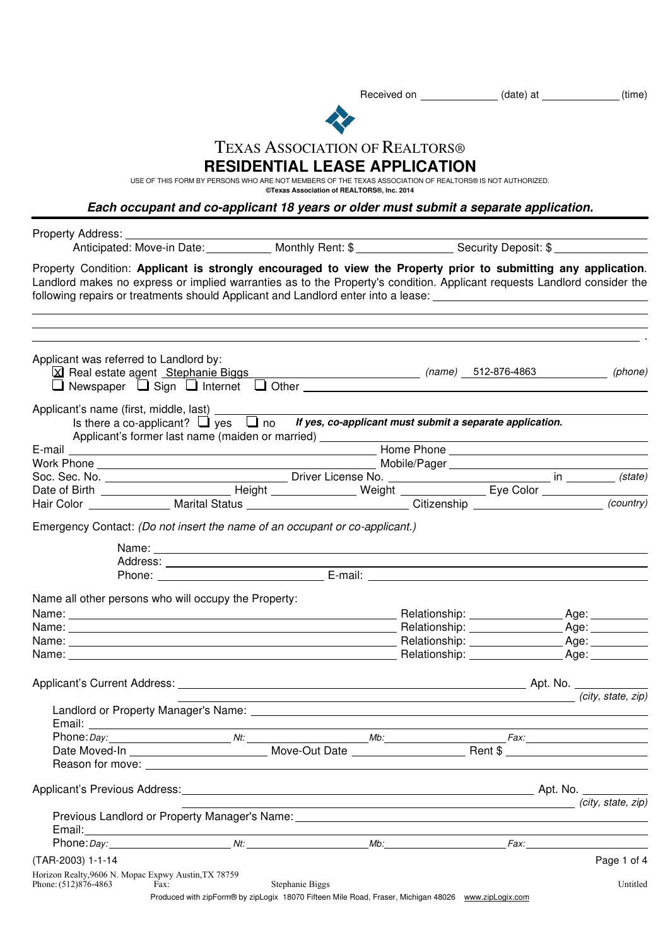Received on \_\_\_\_\_\_\_\_\_\_\_\_\_(date) at \_\_\_\_\_\_\_\_\_\_\_(time)



## TEXAS ASSOCIATION OF REALTORS®

## **RESIDENTIAL LEASE APPLICATION**

USE OF THIS FORM BY PERSONS WHO ARE NOT MEMBERS OF THE TEXAS ASSOCIATION OF REALTORS® IS NOT AUTHORIZED.

**©Texas Association of REALTORS®, Inc. 2014**

**Each occupant and co-applicant 18 years or older must submit a separate application.**

| following repairs or treatments should Applicant and Landlord enter into a lease:<br>Applicant was referred to Landlord by:<br>X Real estate agent Stephanie Biggs Manuel Communication (name) 512-876-4863<br>$\rule{1em}{0.15mm}$ (phone)<br>$\Box$ Newspaper $\Box$ Sign $\Box$ Internet $\Box$ Other $\Box$<br>Applicant's name (first, middle, last) ____________<br>Is there a co-applicant? $\Box$ yes $\Box$ no If yes, co-applicant must submit a separate application.<br>Applicant's former last name (maiden or married) _______________________________<br>Emergency Contact: (Do not insert the name of an occupant or co-applicant.)<br>Name all other persons who will occupy the Property:<br><u> Alexandria de la contrada de la contrada de la contrada de la contrada de la contrada de la contrada de la c</u><br>Email:<br>(city, state, zip)<br>Previous Landlord or Property Manager's Name: 1986. [19] The Content of Previous Landlord or Property Manager's Name:<br>Email:<br>,我们也不会有什么。""我们的人,我们也不会有什么?""我们的人,我们也不会有什么?""我们的人,我们也不会有什么?""我们的人,我们也不会有什么?""我们的人<br>(TAR-2003) 1-1-14 | Property Address: __________                                                                                                                                                                                                               |  |  |  |                    |
|-----------------------------------------------------------------------------------------------------------------------------------------------------------------------------------------------------------------------------------------------------------------------------------------------------------------------------------------------------------------------------------------------------------------------------------------------------------------------------------------------------------------------------------------------------------------------------------------------------------------------------------------------------------------------------------------------------------------------------------------------------------------------------------------------------------------------------------------------------------------------------------------------------------------------------------------------------------------------------------------------------------------------------------------------------------------------------------------------------------------|--------------------------------------------------------------------------------------------------------------------------------------------------------------------------------------------------------------------------------------------|--|--|--|--------------------|
|                                                                                                                                                                                                                                                                                                                                                                                                                                                                                                                                                                                                                                                                                                                                                                                                                                                                                                                                                                                                                                                                                                                 | Property Condition: Applicant is strongly encouraged to view the Property prior to submitting any application.<br>Landlord makes no express or implied warranties as to the Property's condition. Applicant requests Landlord consider the |  |  |  |                    |
|                                                                                                                                                                                                                                                                                                                                                                                                                                                                                                                                                                                                                                                                                                                                                                                                                                                                                                                                                                                                                                                                                                                 |                                                                                                                                                                                                                                            |  |  |  |                    |
|                                                                                                                                                                                                                                                                                                                                                                                                                                                                                                                                                                                                                                                                                                                                                                                                                                                                                                                                                                                                                                                                                                                 |                                                                                                                                                                                                                                            |  |  |  |                    |
|                                                                                                                                                                                                                                                                                                                                                                                                                                                                                                                                                                                                                                                                                                                                                                                                                                                                                                                                                                                                                                                                                                                 |                                                                                                                                                                                                                                            |  |  |  |                    |
|                                                                                                                                                                                                                                                                                                                                                                                                                                                                                                                                                                                                                                                                                                                                                                                                                                                                                                                                                                                                                                                                                                                 |                                                                                                                                                                                                                                            |  |  |  |                    |
|                                                                                                                                                                                                                                                                                                                                                                                                                                                                                                                                                                                                                                                                                                                                                                                                                                                                                                                                                                                                                                                                                                                 |                                                                                                                                                                                                                                            |  |  |  |                    |
|                                                                                                                                                                                                                                                                                                                                                                                                                                                                                                                                                                                                                                                                                                                                                                                                                                                                                                                                                                                                                                                                                                                 |                                                                                                                                                                                                                                            |  |  |  |                    |
|                                                                                                                                                                                                                                                                                                                                                                                                                                                                                                                                                                                                                                                                                                                                                                                                                                                                                                                                                                                                                                                                                                                 |                                                                                                                                                                                                                                            |  |  |  |                    |
|                                                                                                                                                                                                                                                                                                                                                                                                                                                                                                                                                                                                                                                                                                                                                                                                                                                                                                                                                                                                                                                                                                                 |                                                                                                                                                                                                                                            |  |  |  |                    |
|                                                                                                                                                                                                                                                                                                                                                                                                                                                                                                                                                                                                                                                                                                                                                                                                                                                                                                                                                                                                                                                                                                                 |                                                                                                                                                                                                                                            |  |  |  |                    |
|                                                                                                                                                                                                                                                                                                                                                                                                                                                                                                                                                                                                                                                                                                                                                                                                                                                                                                                                                                                                                                                                                                                 |                                                                                                                                                                                                                                            |  |  |  |                    |
|                                                                                                                                                                                                                                                                                                                                                                                                                                                                                                                                                                                                                                                                                                                                                                                                                                                                                                                                                                                                                                                                                                                 |                                                                                                                                                                                                                                            |  |  |  |                    |
|                                                                                                                                                                                                                                                                                                                                                                                                                                                                                                                                                                                                                                                                                                                                                                                                                                                                                                                                                                                                                                                                                                                 |                                                                                                                                                                                                                                            |  |  |  |                    |
|                                                                                                                                                                                                                                                                                                                                                                                                                                                                                                                                                                                                                                                                                                                                                                                                                                                                                                                                                                                                                                                                                                                 |                                                                                                                                                                                                                                            |  |  |  |                    |
|                                                                                                                                                                                                                                                                                                                                                                                                                                                                                                                                                                                                                                                                                                                                                                                                                                                                                                                                                                                                                                                                                                                 |                                                                                                                                                                                                                                            |  |  |  |                    |
|                                                                                                                                                                                                                                                                                                                                                                                                                                                                                                                                                                                                                                                                                                                                                                                                                                                                                                                                                                                                                                                                                                                 |                                                                                                                                                                                                                                            |  |  |  |                    |
|                                                                                                                                                                                                                                                                                                                                                                                                                                                                                                                                                                                                                                                                                                                                                                                                                                                                                                                                                                                                                                                                                                                 |                                                                                                                                                                                                                                            |  |  |  | (city, state, zip) |
|                                                                                                                                                                                                                                                                                                                                                                                                                                                                                                                                                                                                                                                                                                                                                                                                                                                                                                                                                                                                                                                                                                                 |                                                                                                                                                                                                                                            |  |  |  |                    |
|                                                                                                                                                                                                                                                                                                                                                                                                                                                                                                                                                                                                                                                                                                                                                                                                                                                                                                                                                                                                                                                                                                                 |                                                                                                                                                                                                                                            |  |  |  |                    |
|                                                                                                                                                                                                                                                                                                                                                                                                                                                                                                                                                                                                                                                                                                                                                                                                                                                                                                                                                                                                                                                                                                                 |                                                                                                                                                                                                                                            |  |  |  |                    |
|                                                                                                                                                                                                                                                                                                                                                                                                                                                                                                                                                                                                                                                                                                                                                                                                                                                                                                                                                                                                                                                                                                                 |                                                                                                                                                                                                                                            |  |  |  |                    |
|                                                                                                                                                                                                                                                                                                                                                                                                                                                                                                                                                                                                                                                                                                                                                                                                                                                                                                                                                                                                                                                                                                                 |                                                                                                                                                                                                                                            |  |  |  |                    |
|                                                                                                                                                                                                                                                                                                                                                                                                                                                                                                                                                                                                                                                                                                                                                                                                                                                                                                                                                                                                                                                                                                                 |                                                                                                                                                                                                                                            |  |  |  |                    |
|                                                                                                                                                                                                                                                                                                                                                                                                                                                                                                                                                                                                                                                                                                                                                                                                                                                                                                                                                                                                                                                                                                                 |                                                                                                                                                                                                                                            |  |  |  | Page 1 of 4        |
| Phone: (512)876-4863<br>Stephanie Biggs<br>Fax:<br>Produced with zipForm® by zipLogix 18070 Fifteen Mile Road, Fraser, Michigan 48026 www.zipLogix.com                                                                                                                                                                                                                                                                                                                                                                                                                                                                                                                                                                                                                                                                                                                                                                                                                                                                                                                                                          | Horizon Realty, 9606 N. Mopac Expwy Austin, TX 78759                                                                                                                                                                                       |  |  |  | Untitled           |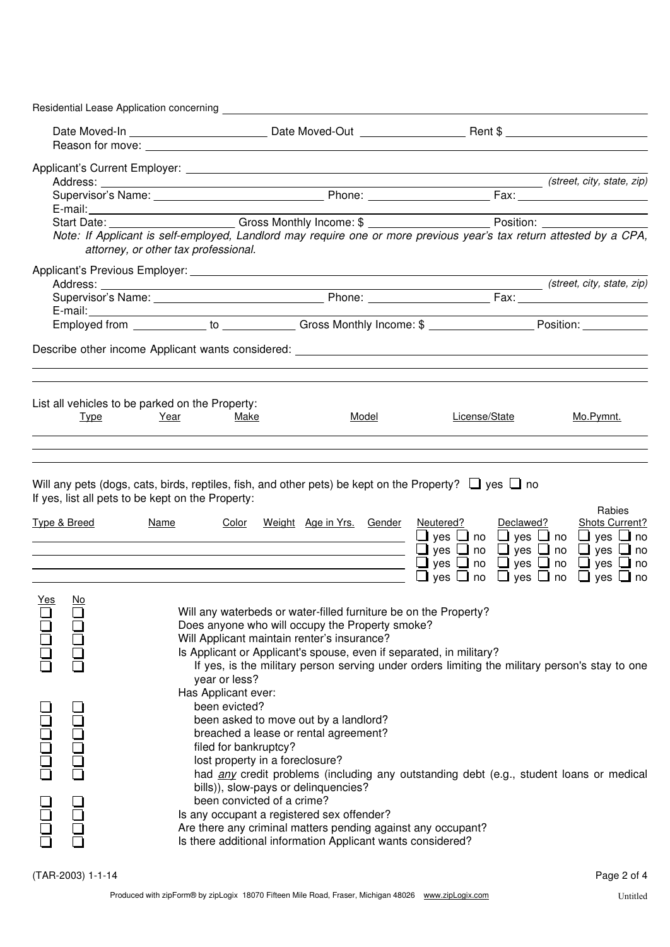|       |                         | Residential Lease Application concerning <b>Exercise Application</b> |                                                                                                                                                                                                                       |                                                                                                                                                                                                                                                                                                        |                                                                                                                                                                                                                                |                                 |
|-------|-------------------------|----------------------------------------------------------------------|-----------------------------------------------------------------------------------------------------------------------------------------------------------------------------------------------------------------------|--------------------------------------------------------------------------------------------------------------------------------------------------------------------------------------------------------------------------------------------------------------------------------------------------------|--------------------------------------------------------------------------------------------------------------------------------------------------------------------------------------------------------------------------------|---------------------------------|
|       |                         |                                                                      |                                                                                                                                                                                                                       |                                                                                                                                                                                                                                                                                                        |                                                                                                                                                                                                                                |                                 |
|       |                         |                                                                      |                                                                                                                                                                                                                       |                                                                                                                                                                                                                                                                                                        |                                                                                                                                                                                                                                |                                 |
|       |                         |                                                                      |                                                                                                                                                                                                                       |                                                                                                                                                                                                                                                                                                        |                                                                                                                                                                                                                                |                                 |
|       |                         |                                                                      |                                                                                                                                                                                                                       |                                                                                                                                                                                                                                                                                                        |                                                                                                                                                                                                                                |                                 |
|       |                         |                                                                      |                                                                                                                                                                                                                       |                                                                                                                                                                                                                                                                                                        |                                                                                                                                                                                                                                |                                 |
|       |                         |                                                                      |                                                                                                                                                                                                                       |                                                                                                                                                                                                                                                                                                        | Start Date: Care Constantine Constantine Constantine Constantine Constantine Constantine Constantine Constantine Constantine Constantine Constantine Constantine Constantine Constantine Constantine Constantine Constantine C |                                 |
|       |                         | attorney, or other tax professional.                                 |                                                                                                                                                                                                                       |                                                                                                                                                                                                                                                                                                        | Note: If Applicant is self-employed, Landlord may require one or more previous year's tax return attested by a CPA,                                                                                                            |                                 |
|       |                         |                                                                      |                                                                                                                                                                                                                       |                                                                                                                                                                                                                                                                                                        |                                                                                                                                                                                                                                |                                 |
|       |                         |                                                                      |                                                                                                                                                                                                                       |                                                                                                                                                                                                                                                                                                        |                                                                                                                                                                                                                                |                                 |
|       |                         |                                                                      |                                                                                                                                                                                                                       |                                                                                                                                                                                                                                                                                                        |                                                                                                                                                                                                                                |                                 |
|       |                         |                                                                      |                                                                                                                                                                                                                       |                                                                                                                                                                                                                                                                                                        |                                                                                                                                                                                                                                |                                 |
|       |                         |                                                                      |                                                                                                                                                                                                                       |                                                                                                                                                                                                                                                                                                        |                                                                                                                                                                                                                                |                                 |
|       |                         |                                                                      |                                                                                                                                                                                                                       |                                                                                                                                                                                                                                                                                                        | Describe other income Applicant wants considered: _______________________________                                                                                                                                              |                                 |
|       |                         |                                                                      |                                                                                                                                                                                                                       |                                                                                                                                                                                                                                                                                                        |                                                                                                                                                                                                                                |                                 |
|       |                         | List all vehicles to be parked on the Property:                      |                                                                                                                                                                                                                       |                                                                                                                                                                                                                                                                                                        |                                                                                                                                                                                                                                |                                 |
|       | Type                    | Year<br>Make                                                         |                                                                                                                                                                                                                       | Model                                                                                                                                                                                                                                                                                                  | License/State                                                                                                                                                                                                                  | Mo.Pymnt.                       |
|       |                         |                                                                      |                                                                                                                                                                                                                       |                                                                                                                                                                                                                                                                                                        |                                                                                                                                                                                                                                |                                 |
|       |                         |                                                                      |                                                                                                                                                                                                                       |                                                                                                                                                                                                                                                                                                        |                                                                                                                                                                                                                                |                                 |
|       | <b>Type &amp; Breed</b> | If yes, list all pets to be kept on the Property:<br>Name            |                                                                                                                                                                                                                       |                                                                                                                                                                                                                                                                                                        | Will any pets (dogs, cats, birds, reptiles, fish, and other pets) be kept on the Property? $\Box$ yes $\Box$ no<br>Color Weight Age in Yrs. Gender Neutered? Declawed?                                                         | Rabies<br><b>Shots Current?</b> |
|       |                         |                                                                      |                                                                                                                                                                                                                       | <u> 1989 - Johann Stein, mars an deutscher Stein und der Stein und der Stein und der Stein und der Stein und der</u><br><u> 1989 - Johann Stoff, fransk politik (d. 1989)</u><br><u> 1980 - Johann Barbara, martin amerikan basal dan berasal dalam basal dalam basal dalam basal dalam basal dala</u> | yes $\Box$ no $\Box$ yes $\Box$ no $\Box$ yes $\Box$ no<br>yes $\Box$ no $\Box$ yes $\Box$ no $\Box$ yes $\Box$ no<br>$\Box$<br>yes $\Box$ no $\Box$ yes $\Box$ no $\Box$ yes $\Box$ no<br>$\Box$                              |                                 |
| Yes   | No.<br>0000             | year or less?<br>Has Applicant ever:<br>been evicted?                | Will Applicant maintain renter's insurance?<br>been asked to move out by a landlord?                                                                                                                                  | Will any waterbeds or water-filled furniture be on the Property?<br>Does anyone who will occupy the Property smoke?                                                                                                                                                                                    | Is Applicant or Applicant's spouse, even if separated, in military?<br>If yes, is the military person serving under orders limiting the military person's stay to one                                                          |                                 |
| OOOOO | poppo<br>pop            |                                                                      | breached a lease or rental agreement?<br>filed for bankruptcy?<br>lost property in a foreclosure?<br>bills)), slow-pays or delinquencies?<br>been convicted of a crime?<br>Is any occupant a registered sex offender? | Are there any criminal matters pending against any occupant?                                                                                                                                                                                                                                           | had any credit problems (including any outstanding debt (e.g., student loans or medical                                                                                                                                        |                                 |
|       | (TAR-2003) 1-1-14       |                                                                      |                                                                                                                                                                                                                       | Is there additional information Applicant wants considered?                                                                                                                                                                                                                                            |                                                                                                                                                                                                                                | Page 2 of 4                     |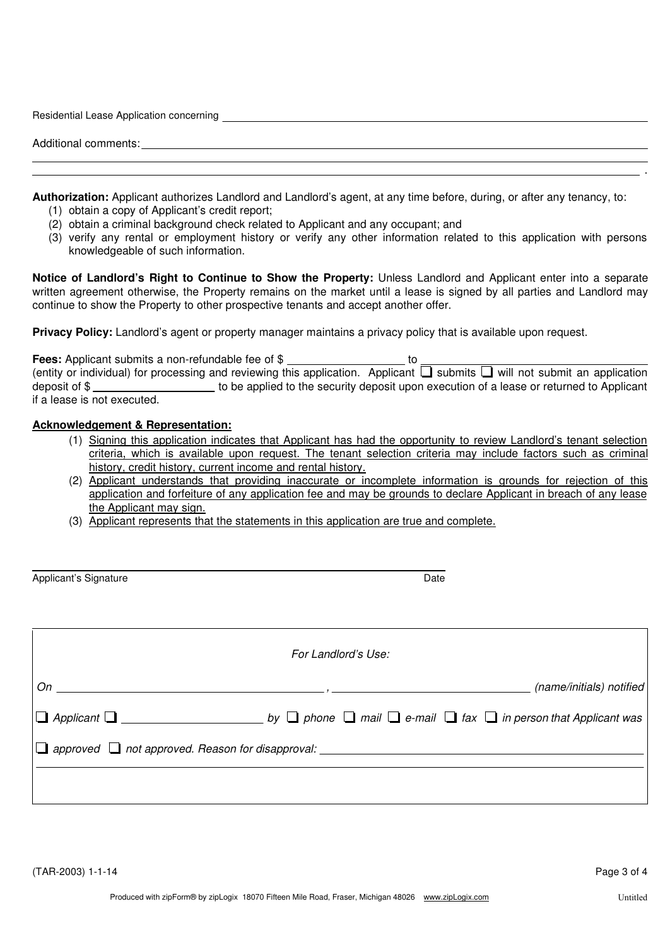| Residential Lease Application concerning |  |
|------------------------------------------|--|
| Additional comments:                     |  |
|                                          |  |

**Authorization:** Applicant authorizes Landlord and Landlord's agent, at any time before, during, or after any tenancy, to:

- (1) obtain a copy of Applicant's credit report;
- (2) obtain a criminal background check related to Applicant and any occupant; and
- (3) verify any rental or employment history or verify any other information related to this application with persons knowledgeable of such information.

**Notice of Landlord's Right to Continue to Show the Property:** Unless Landlord and Applicant enter into a separate written agreement otherwise, the Property remains on the market until a lease is signed by all parties and Landlord may continue to show the Property to other prospective tenants and accept another offer.

**Privacy Policy:** Landlord's agent or property manager maintains a privacy policy that is available upon request.

| <b>Fees:</b> Applicant submits a non-refundable fee of \$ |  |                                                                                                                                      |
|-----------------------------------------------------------|--|--------------------------------------------------------------------------------------------------------------------------------------|
|                                                           |  | (entity or individual) for processing and reviewing this application. Applicant $\Box$ submits $\Box$ will not submit an application |
| deposit of \$                                             |  | to be applied to the security deposit upon execution of a lease or returned to Applicant                                             |
| if a lease is not executed.                               |  |                                                                                                                                      |

## **Acknowledgement & Representation:**

- (1) Signing this application indicates that Applicant has had the opportunity to review Landlord's tenant selection criteria, which is available upon request. The tenant selection criteria may include factors such as criminal history, credit history, current income and rental history.
- (2) Applicant understands that providing inaccurate or incomplete information is grounds for rejection of this application and forfeiture of any application fee and may be grounds to declare Applicant in breach of any lease the Applicant may sign.
- (3) Applicant represents that the statements in this application are true and complete.

| Applicant's Signature | Date |
|-----------------------|------|
|-----------------------|------|

|                                                                     | For Landlord's Use: |                          |  |  |
|---------------------------------------------------------------------|---------------------|--------------------------|--|--|
|                                                                     |                     | (name/initials) notified |  |  |
|                                                                     |                     |                          |  |  |
| $\Box$ approved $\Box$ not approved. Reason for disapproval: $\Box$ |                     |                          |  |  |
|                                                                     |                     |                          |  |  |